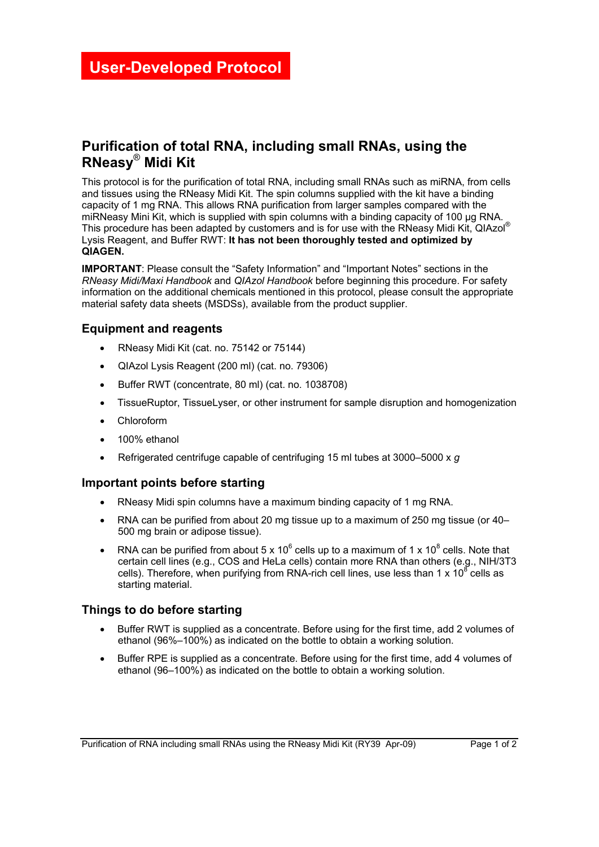# **Purification of total RNA, including small RNAs, using the RNeasy**® **Midi Kit**

This protocol is for the purification of total RNA, including small RNAs such as miRNA, from cells and tissues using the RNeasy Midi Kit. The spin columns supplied with the kit have a binding capacity of 1 mg RNA. This allows RNA purification from larger samples compared with the miRNeasy Mini Kit, which is supplied with spin columns with a binding capacity of 100 µg RNA. This procedure has been adapted by customers and is for use with the RNeasy Midi Kit, QIAzol® Lysis Reagent, and Buffer RWT: **It has not been thoroughly tested and optimized by QIAGEN.** 

**IMPORTANT**: Please consult the "Safety Information" and "Important Notes" sections in the *RNeasy Midi/Maxi Handbook* and *QIAzol Handbook* before beginning this procedure. For safety information on the additional chemicals mentioned in this protocol, please consult the appropriate material safety data sheets (MSDSs), available from the product supplier.

### **Equipment and reagents**

- RNeasy Midi Kit (cat. no. 75142 or 75144)
- QIAzol Lysis Reagent (200 ml) (cat. no. 79306)
- Buffer RWT (concentrate, 80 ml) (cat. no. 1038708)
- TissueRuptor, TissueLyser, or other instrument for sample disruption and homogenization
- Chloroform
- 100% ethanol
- Refrigerated centrifuge capable of centrifuging 15 ml tubes at 3000–5000 x *g*

#### **Important points before starting**

- RNeasy Midi spin columns have a maximum binding capacity of 1 mg RNA.
- RNA can be purified from about 20 mg tissue up to a maximum of 250 mg tissue (or 40– 500 mg brain or adipose tissue).
- RNA can be purified from about 5 x 10<sup>6</sup> cells up to a maximum of 1 x 10<sup>8</sup> cells. Note that certain cell lines (e.g., COS and HeLa cells) contain more RNA than others (e.g., NIH/3T3 cells). Therefore, when purifying from RNA-rich cell lines, use less than 1 x  $10^8$  cells as starting material.

## **Things to do before starting**

- Buffer RWT is supplied as a concentrate. Before using for the first time, add 2 volumes of ethanol (96%–100%) as indicated on the bottle to obtain a working solution.
- Buffer RPE is supplied as a concentrate. Before using for the first time, add 4 volumes of ethanol (96–100%) as indicated on the bottle to obtain a working solution.